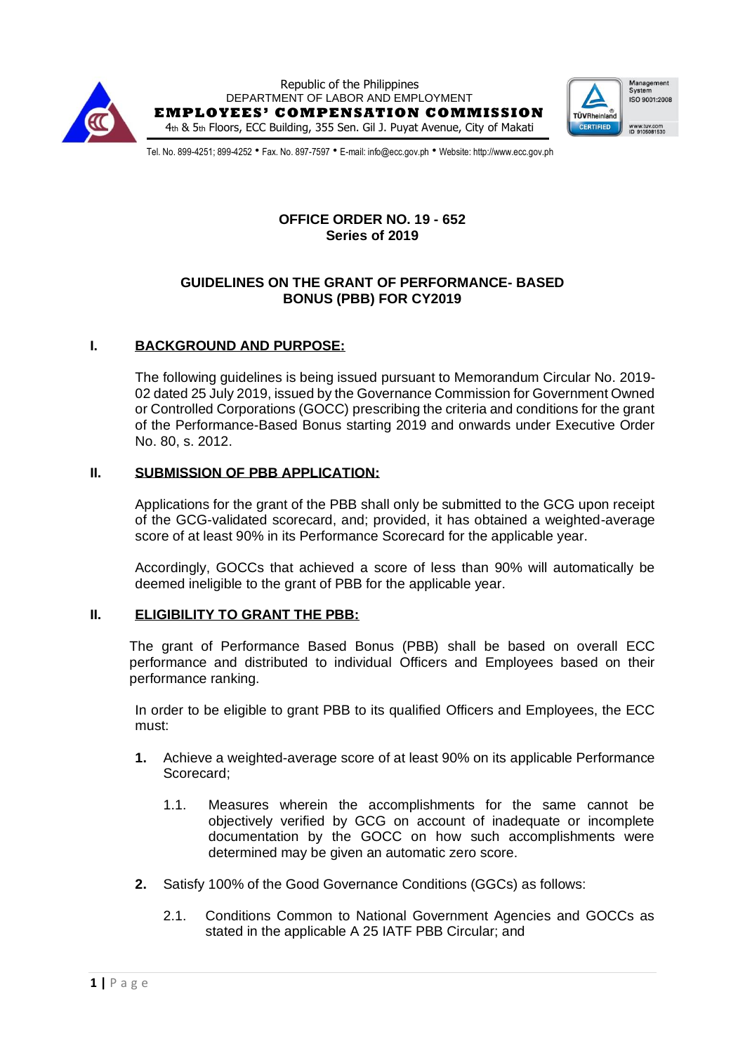



Tel. No. 899-4251; 899-4252 • Fax. No. 897-7597 • E-mail: info@ecc.gov.ph • Website: http://www.ecc.gov.ph

# **OFFICE ORDER NO. 19 - 652 Series of 2019**

# **GUIDELINES ON THE GRANT OF PERFORMANCE- BASED BONUS (PBB) FOR CY2019**

# **I. BACKGROUND AND PURPOSE:**

The following guidelines is being issued pursuant to Memorandum Circular No. 2019- 02 dated 25 July 2019, issued by the Governance Commission for Government Owned or Controlled Corporations (GOCC) prescribing the criteria and conditions for the grant of the Performance-Based Bonus starting 2019 and onwards under Executive Order No. 80, s. 2012.

## **II. SUBMISSION OF PBB APPLICATION:**

Applications for the grant of the PBB shall only be submitted to the GCG upon receipt of the GCG-validated scorecard, and; provided, it has obtained a weighted-average score of at least 90% in its Performance Scorecard for the applicable year.

Accordingly, GOCCs that achieved a score of less than 90% will automatically be deemed ineligible to the grant of PBB for the applicable year.

#### **II. ELIGIBILITY TO GRANT THE PBB:**

The grant of Performance Based Bonus (PBB) shall be based on overall ECC performance and distributed to individual Officers and Employees based on their performance ranking.

In order to be eligible to grant PBB to its qualified Officers and Employees, the ECC must:

- **1.** Achieve a weighted-average score of at least 90% on its applicable Performance Scorecard;
	- 1.1. Measures wherein the accomplishments for the same cannot be objectively verified by GCG on account of inadequate or incomplete documentation by the GOCC on how such accomplishments were determined may be given an automatic zero score.
- **2.** Satisfy 100% of the Good Governance Conditions (GGCs) as follows:
	- 2.1. Conditions Common to National Government Agencies and GOCCs as stated in the applicable A 25 IATF PBB Circular; and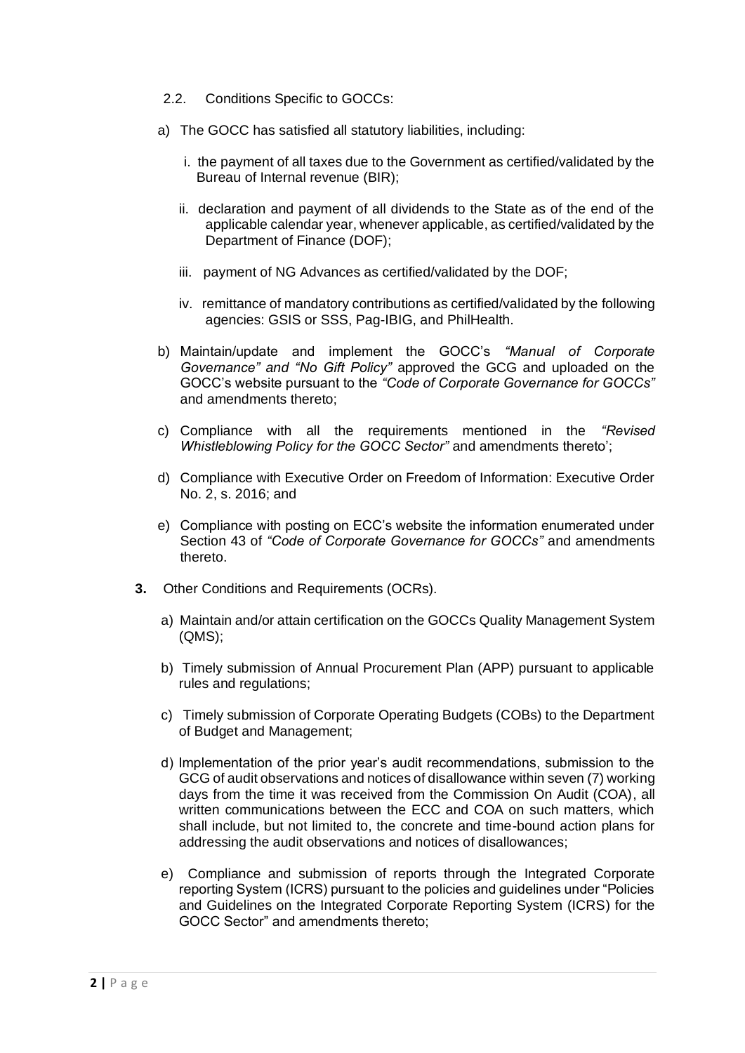- 2.2. Conditions Specific to GOCCs:
- a) The GOCC has satisfied all statutory liabilities, including:
	- i. the payment of all taxes due to the Government as certified/validated by the Bureau of Internal revenue (BIR);
	- ii. declaration and payment of all dividends to the State as of the end of the applicable calendar year, whenever applicable, as certified/validated by the Department of Finance (DOF);
	- iii. payment of NG Advances as certified/validated by the DOF;
	- iv. remittance of mandatory contributions as certified/validated by the following agencies: GSIS or SSS, Pag-IBIG, and PhilHealth.
- b) Maintain/update and implement the GOCC's *"Manual of Corporate Governance" and "No Gift Policy"* approved the GCG and uploaded on the GOCC's website pursuant to the *"Code of Corporate Governance for GOCCs"* and amendments thereto;
- c) Compliance with all the requirements mentioned in the *"Revised Whistleblowing Policy for the GOCC Sector"* and amendments thereto';
- d) Compliance with Executive Order on Freedom of Information: Executive Order No. 2, s. 2016; and
- e) Compliance with posting on ECC's website the information enumerated under Section 43 of *"Code of Corporate Governance for GOCCs"* and amendments thereto.
- **3.** Other Conditions and Requirements (OCRs).
	- a) Maintain and/or attain certification on the GOCCs Quality Management System (QMS);
	- b) Timely submission of Annual Procurement Plan (APP) pursuant to applicable rules and regulations;
	- c) Timely submission of Corporate Operating Budgets (COBs) to the Department of Budget and Management;
	- d) Implementation of the prior year's audit recommendations, submission to the GCG of audit observations and notices of disallowance within seven (7) working days from the time it was received from the Commission On Audit (COA), all written communications between the ECC and COA on such matters, which shall include, but not limited to, the concrete and time-bound action plans for addressing the audit observations and notices of disallowances;
	- e) Compliance and submission of reports through the Integrated Corporate reporting System (ICRS) pursuant to the policies and guidelines under "Policies and Guidelines on the Integrated Corporate Reporting System (ICRS) for the GOCC Sector" and amendments thereto;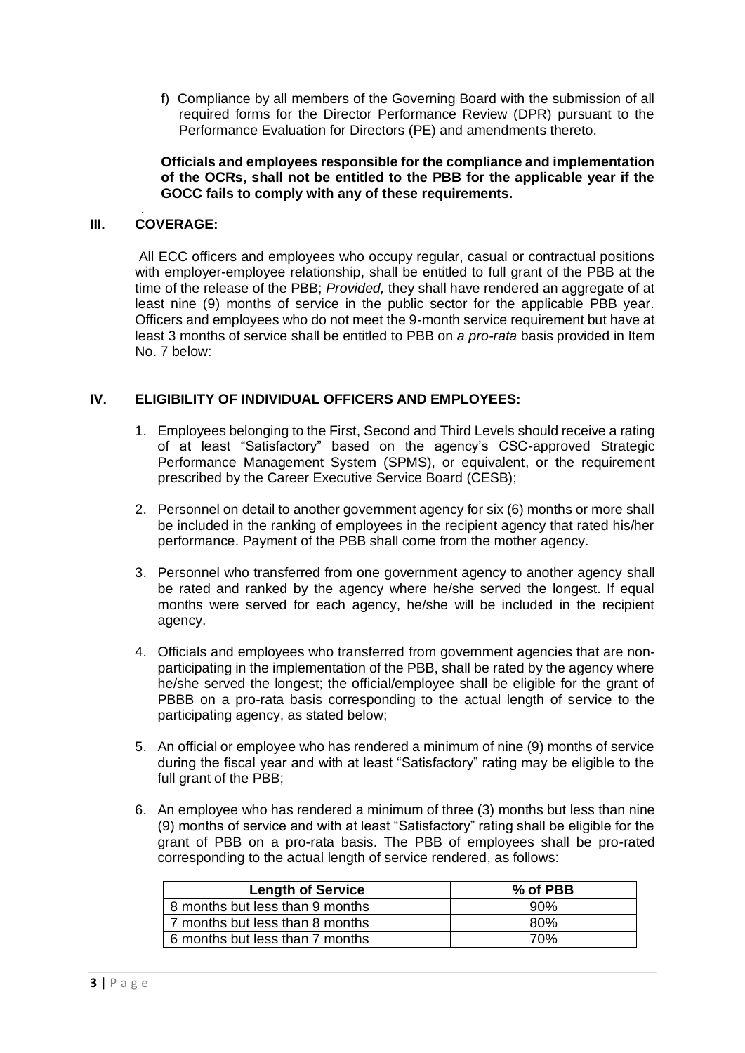f) Compliance by all members of the Governing Board with the submission of all required forms for the Director Performance Review (DPR) pursuant to the Performance Evaluation for Directors (PE) and amendments thereto.

**Officials and employees responsible for the compliance and implementation of the OCRs, shall not be entitled to the PBB for the applicable year if the GOCC fails to comply with any of these requirements.**

#### . **III. COVERAGE:**

All ECC officers and employees who occupy regular, casual or contractual positions with employer-employee relationship, shall be entitled to full grant of the PBB at the time of the release of the PBB; *Provided,* they shall have rendered an aggregate of at least nine (9) months of service in the public sector for the applicable PBB year. Officers and employees who do not meet the 9-month service requirement but have at least 3 months of service shall be entitled to PBB on *a pro-rata* basis provided in Item No. 7 below:

#### **IV. ELIGIBILITY OF INDIVIDUAL OFFICERS AND EMPLOYEES:**

- 1. Employees belonging to the First, Second and Third Levels should receive a rating of at least "Satisfactory" based on the agency's CSC-approved Strategic Performance Management System (SPMS), or equivalent, or the requirement prescribed by the Career Executive Service Board (CESB);
- 2. Personnel on detail to another government agency for six (6) months or more shall be included in the ranking of employees in the recipient agency that rated his/her performance. Payment of the PBB shall come from the mother agency.
- 3. Personnel who transferred from one government agency to another agency shall be rated and ranked by the agency where he/she served the longest. If equal months were served for each agency, he/she will be included in the recipient agency.
- 4. Officials and employees who transferred from government agencies that are nonparticipating in the implementation of the PBB, shall be rated by the agency where he/she served the longest; the official/employee shall be eligible for the grant of PBBB on a pro-rata basis corresponding to the actual length of service to the participating agency, as stated below;
- 5. An official or employee who has rendered a minimum of nine (9) months of service during the fiscal year and with at least "Satisfactory" rating may be eligible to the full grant of the PBB;
- 6. An employee who has rendered a minimum of three (3) months but less than nine (9) months of service and with at least "Satisfactory" rating shall be eligible for the grant of PBB on a pro-rata basis. The PBB of employees shall be pro-rated corresponding to the actual length of service rendered, as follows:

| <b>Length of Service</b>        | % of PBB |
|---------------------------------|----------|
| 8 months but less than 9 months | .90%     |
| 7 months but less than 8 months | 80%      |
| 6 months but less than 7 months | 70%      |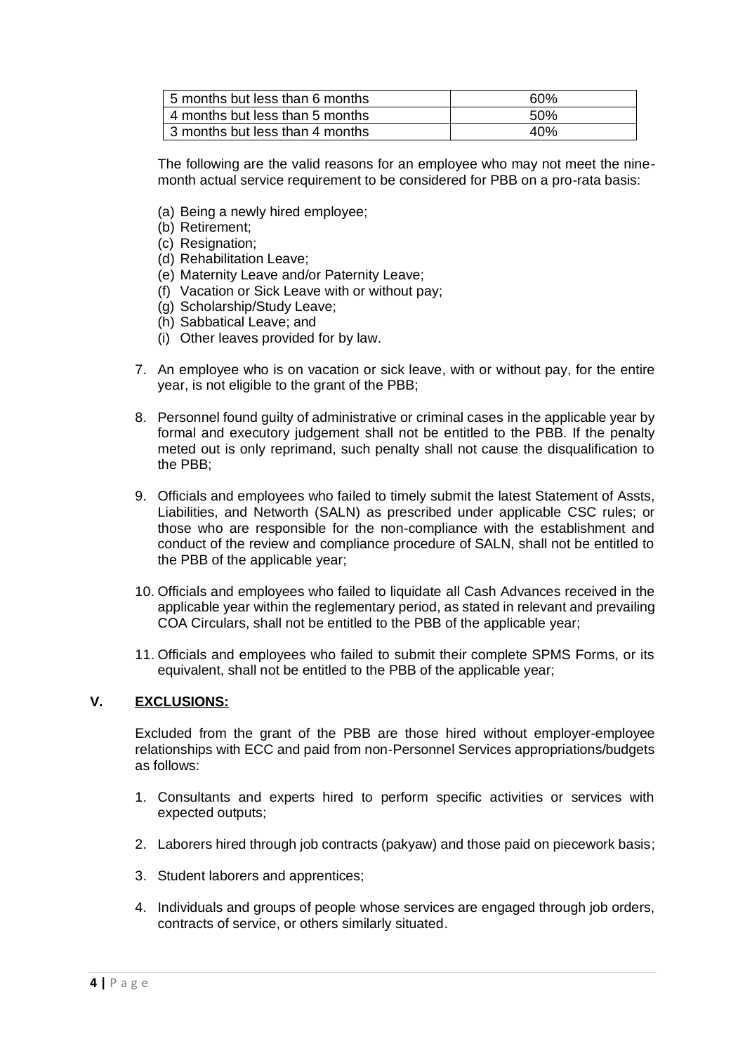| 5 months but less than 6 months | 60%  |
|---------------------------------|------|
| 4 months but less than 5 months | .50% |
| 3 months but less than 4 months | 40%  |

The following are the valid reasons for an employee who may not meet the ninemonth actual service requirement to be considered for PBB on a pro-rata basis:

- (a) Being a newly hired employee;
- (b) Retirement;
- (c) Resignation:
- (d) Rehabilitation Leave;
- (e) Maternity Leave and/or Paternity Leave;
- (f) Vacation or Sick Leave with or without pay;
- (g) Scholarship/Study Leave;
- (h) Sabbatical Leave; and
- (i) Other leaves provided for by law.
- 7. An employee who is on vacation or sick leave, with or without pay, for the entire year, is not eligible to the grant of the PBB;
- 8. Personnel found guilty of administrative or criminal cases in the applicable year by formal and executory judgement shall not be entitled to the PBB. If the penalty meted out is only reprimand, such penalty shall not cause the disqualification to the PBB;
- 9. Officials and employees who failed to timely submit the latest Statement of Assts, Liabilities, and Networth (SALN) as prescribed under applicable CSC rules; or those who are responsible for the non-compliance with the establishment and conduct of the review and compliance procedure of SALN, shall not be entitled to the PBB of the applicable year;
- 10. Officials and employees who failed to liquidate all Cash Advances received in the applicable year within the reglementary period, as stated in relevant and prevailing COA Circulars, shall not be entitled to the PBB of the applicable year;
- 11. Officials and employees who failed to submit their complete SPMS Forms, or its equivalent, shall not be entitled to the PBB of the applicable year;

## **V. EXCLUSIONS:**

Excluded from the grant of the PBB are those hired without employer-employee relationships with ECC and paid from non-Personnel Services appropriations/budgets as follows:

- 1. Consultants and experts hired to perform specific activities or services with expected outputs;
- 2. Laborers hired through job contracts (pakyaw) and those paid on piecework basis;
- 3. Student laborers and apprentices;
- 4. Individuals and groups of people whose services are engaged through job orders, contracts of service, or others similarly situated.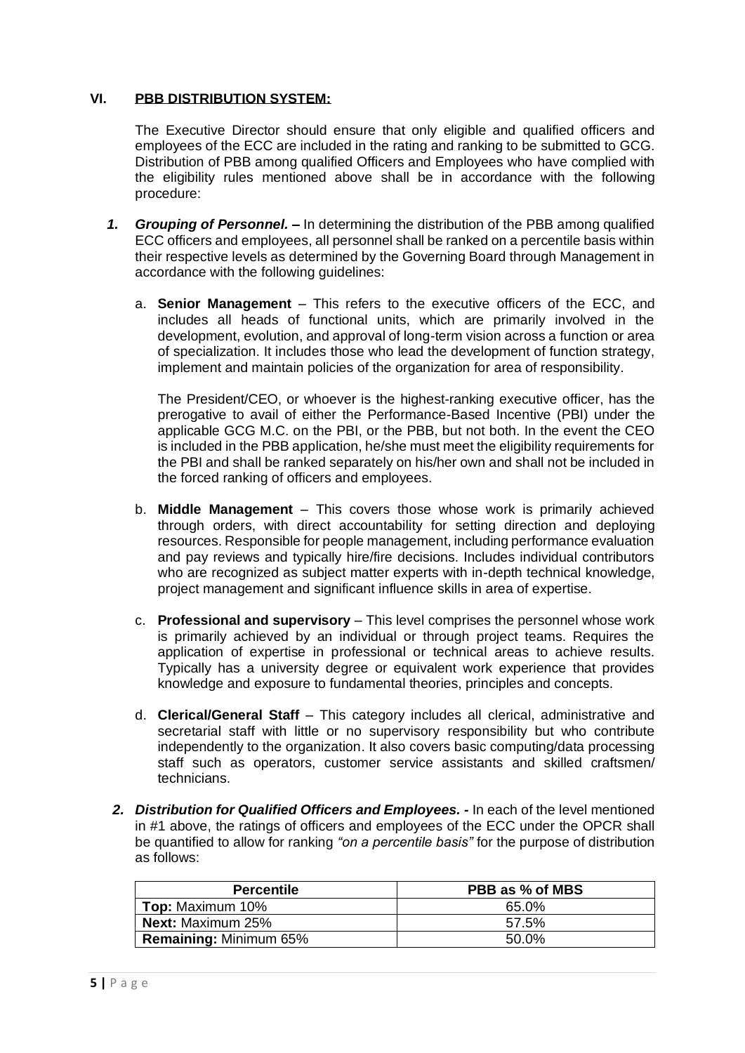#### **VI. PBB DISTRIBUTION SYSTEM:**

The Executive Director should ensure that only eligible and qualified officers and employees of the ECC are included in the rating and ranking to be submitted to GCG. Distribution of PBB among qualified Officers and Employees who have complied with the eligibility rules mentioned above shall be in accordance with the following procedure:

- *1. Grouping of Personnel. –* In determining the distribution of the PBB among qualified ECC officers and employees, all personnel shall be ranked on a percentile basis within their respective levels as determined by the Governing Board through Management in accordance with the following guidelines:
	- a. **Senior Management** This refers to the executive officers of the ECC, and includes all heads of functional units, which are primarily involved in the development, evolution, and approval of long-term vision across a function or area of specialization. It includes those who lead the development of function strategy, implement and maintain policies of the organization for area of responsibility.

The President/CEO, or whoever is the highest-ranking executive officer, has the prerogative to avail of either the Performance-Based Incentive (PBI) under the applicable GCG M.C. on the PBI, or the PBB, but not both. In the event the CEO is included in the PBB application, he/she must meet the eligibility requirements for the PBI and shall be ranked separately on his/her own and shall not be included in the forced ranking of officers and employees.

- b. **Middle Management** This covers those whose work is primarily achieved through orders, with direct accountability for setting direction and deploying resources. Responsible for people management, including performance evaluation and pay reviews and typically hire/fire decisions. Includes individual contributors who are recognized as subject matter experts with in-depth technical knowledge, project management and significant influence skills in area of expertise.
- c. **Professional and supervisory** This level comprises the personnel whose work is primarily achieved by an individual or through project teams. Requires the application of expertise in professional or technical areas to achieve results. Typically has a university degree or equivalent work experience that provides knowledge and exposure to fundamental theories, principles and concepts.
- d. **Clerical/General Staff** This category includes all clerical, administrative and secretarial staff with little or no supervisory responsibility but who contribute independently to the organization. It also covers basic computing/data processing staff such as operators, customer service assistants and skilled craftsmen/ technicians.
- *2. Distribution for Qualified Officers and Employees. -* In each of the level mentioned in #1 above, the ratings of officers and employees of the ECC under the OPCR shall be quantified to allow for ranking *"on a percentile basis"* for the purpose of distribution as follows:

| <b>Percentile</b>             | PBB as % of MBS |
|-------------------------------|-----------------|
| <b>Top:</b> Maximum 10%       | 65.0%           |
| <b>Next:</b> Maximum 25%      | 57.5%           |
| <b>Remaining: Minimum 65%</b> | 50.0%           |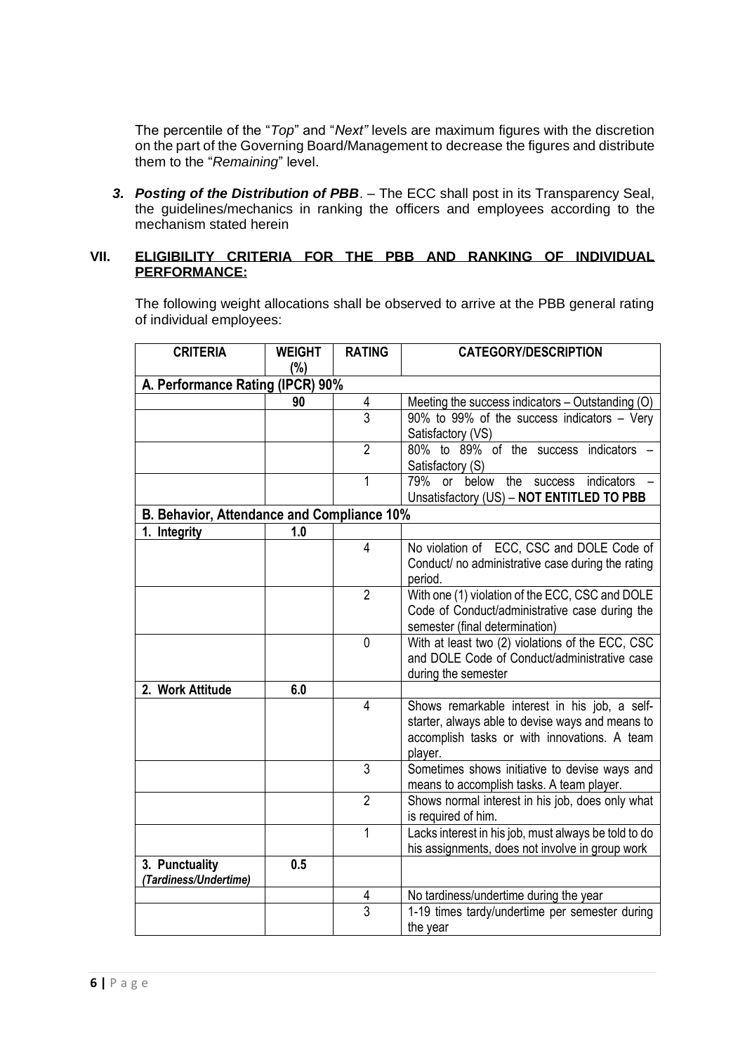The percentile of the "*Top*" and "*Next"* levels are maximum figures with the discretion on the part of the Governing Board/Management to decrease the figures and distribute them to the "*Remaining*" level.

*3. Posting of the Distribution of PBB*. – The ECC shall post in its Transparency Seal, the guidelines/mechanics in ranking the officers and employees according to the mechanism stated herein

#### **VII. ELIGIBILITY CRITERIA FOR THE PBB AND RANKING OF INDIVIDUAL PERFORMANCE:**

The following weight allocations shall be observed to arrive at the PBB general rating of individual employees:

| <b>CRITERIA</b>                            | <b>WEIGHT</b> | <b>RATING</b>  | <b>CATEGORY/DESCRIPTION</b>                                                                                                                                  |
|--------------------------------------------|---------------|----------------|--------------------------------------------------------------------------------------------------------------------------------------------------------------|
|                                            | (%)           |                |                                                                                                                                                              |
| A. Performance Rating (IPCR) 90%           |               |                |                                                                                                                                                              |
|                                            | 90            | 4              | Meeting the success indicators - Outstanding (O)                                                                                                             |
|                                            |               | 3              | 90% to 99% of the success indicators - Very<br>Satisfactory (VS)                                                                                             |
|                                            |               | $\overline{2}$ | 80% to 89% of the success indicators -<br>Satisfactory (S)                                                                                                   |
|                                            |               | 1              | 79% or below<br>the<br>indicators<br><b>SUCCESS</b><br>Unsatisfactory (US) - NOT ENTITLED TO PBB                                                             |
| B. Behavior, Attendance and Compliance 10% |               |                |                                                                                                                                                              |
| 1. Integrity                               | 1.0           |                |                                                                                                                                                              |
|                                            |               | 4              | No violation of ECC, CSC and DOLE Code of<br>Conduct/ no administrative case during the rating<br>period.                                                    |
|                                            |               | $\overline{2}$ | With one (1) violation of the ECC, CSC and DOLE<br>Code of Conduct/administrative case during the<br>semester (final determination)                          |
|                                            |               | $\mathbf{0}$   | With at least two (2) violations of the ECC, CSC<br>and DOLE Code of Conduct/administrative case<br>during the semester                                      |
| 2. Work Attitude                           | 6.0           |                |                                                                                                                                                              |
|                                            |               | $\overline{4}$ | Shows remarkable interest in his job, a self-<br>starter, always able to devise ways and means to<br>accomplish tasks or with innovations. A team<br>player. |
|                                            |               | $\overline{3}$ | Sometimes shows initiative to devise ways and<br>means to accomplish tasks. A team player.                                                                   |
|                                            |               | $\overline{2}$ | Shows normal interest in his job, does only what<br>is required of him.                                                                                      |
|                                            |               | 1              | Lacks interest in his job, must always be told to do<br>his assignments, does not involve in group work                                                      |
| 3. Punctuality<br>(Tardiness/Undertime)    | 0.5           |                |                                                                                                                                                              |
|                                            |               | 4              | No tardiness/undertime during the year                                                                                                                       |
|                                            |               | 3              | 1-19 times tardy/undertime per semester during<br>the year                                                                                                   |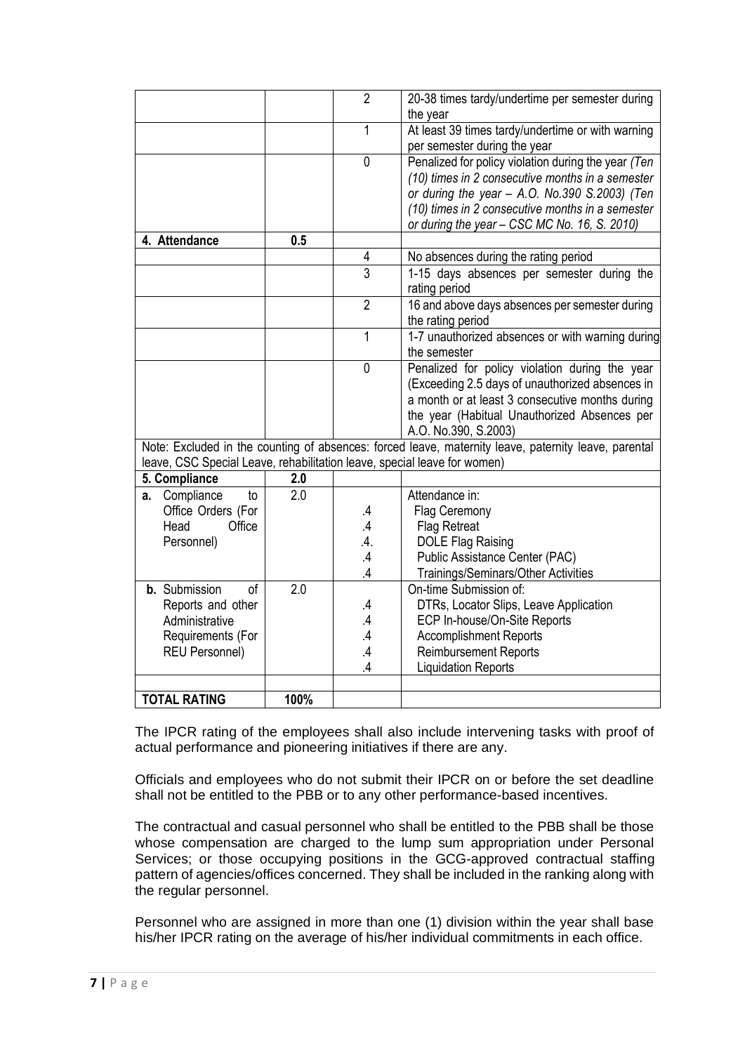|                                                                          |      | $\overline{2}$ | 20-38 times tardy/undertime per semester during<br>the year                                          |
|--------------------------------------------------------------------------|------|----------------|------------------------------------------------------------------------------------------------------|
|                                                                          |      | 1              | At least 39 times tardy/undertime or with warning<br>per semester during the year                    |
|                                                                          |      | $\overline{0}$ | Penalized for policy violation during the year (Ten                                                  |
|                                                                          |      |                | (10) times in 2 consecutive months in a semester                                                     |
|                                                                          |      |                | or during the year - A.O. No.390 S.2003) (Ten                                                        |
|                                                                          |      |                | (10) times in 2 consecutive months in a semester                                                     |
|                                                                          |      |                | or during the year - CSC MC No. 16, S. 2010)                                                         |
| 4. Attendance                                                            | 0.5  |                |                                                                                                      |
|                                                                          |      | 4              | No absences during the rating period                                                                 |
|                                                                          |      | $\overline{3}$ | 1-15 days absences per semester during the<br>rating period                                          |
|                                                                          |      | $\overline{2}$ | 16 and above days absences per semester during                                                       |
|                                                                          |      |                | the rating period                                                                                    |
|                                                                          |      | 1              | 1-7 unauthorized absences or with warning during<br>the semester                                     |
|                                                                          |      | $\mathbf 0$    | Penalized for policy violation during the year                                                       |
|                                                                          |      |                | (Exceeding 2.5 days of unauthorized absences in                                                      |
|                                                                          |      |                | a month or at least 3 consecutive months during                                                      |
|                                                                          |      |                | the year (Habitual Unauthorized Absences per                                                         |
|                                                                          |      |                | A.O. No.390, S.2003)                                                                                 |
|                                                                          |      |                | Note: Excluded in the counting of absences: forced leave, maternity leave, paternity leave, parental |
| leave, CSC Special Leave, rehabilitation leave, special leave for women) |      |                |                                                                                                      |
| 5. Compliance                                                            | 2.0  |                |                                                                                                      |
| Compliance<br>to<br>a.                                                   | 2.0  |                | Attendance in:                                                                                       |
| Office Orders (For                                                       |      | .4             | Flag Ceremony                                                                                        |
| Head<br>Office                                                           |      | $\mathcal{A}$  | <b>Flag Retreat</b>                                                                                  |
| Personnel)                                                               |      | .4.            | <b>DOLE Flag Raising</b>                                                                             |
|                                                                          |      | $\mathcal{A}$  | Public Assistance Center (PAC)                                                                       |
|                                                                          |      | .4             | Trainings/Seminars/Other Activities                                                                  |
| <b>b.</b> Submission<br><sub>of</sub>                                    | 2.0  |                | On-time Submission of:                                                                               |
| Reports and other                                                        |      | .4             | DTRs, Locator Slips, Leave Application                                                               |
| Administrative                                                           |      | .4             | ECP In-house/On-Site Reports                                                                         |
| Requirements (For                                                        |      | $\overline{A}$ | <b>Accomplishment Reports</b>                                                                        |
| <b>REU Personnel)</b>                                                    |      | .4             | <b>Reimbursement Reports</b>                                                                         |
|                                                                          |      | $\overline{A}$ | <b>Liquidation Reports</b>                                                                           |
|                                                                          |      |                |                                                                                                      |
| <b>TOTAL RATING</b>                                                      | 100% |                |                                                                                                      |

The IPCR rating of the employees shall also include intervening tasks with proof of actual performance and pioneering initiatives if there are any.

Officials and employees who do not submit their IPCR on or before the set deadline shall not be entitled to the PBB or to any other performance-based incentives.

The contractual and casual personnel who shall be entitled to the PBB shall be those whose compensation are charged to the lump sum appropriation under Personal Services; or those occupying positions in the GCG-approved contractual staffing pattern of agencies/offices concerned. They shall be included in the ranking along with the regular personnel.

Personnel who are assigned in more than one (1) division within the year shall base his/her IPCR rating on the average of his/her individual commitments in each office.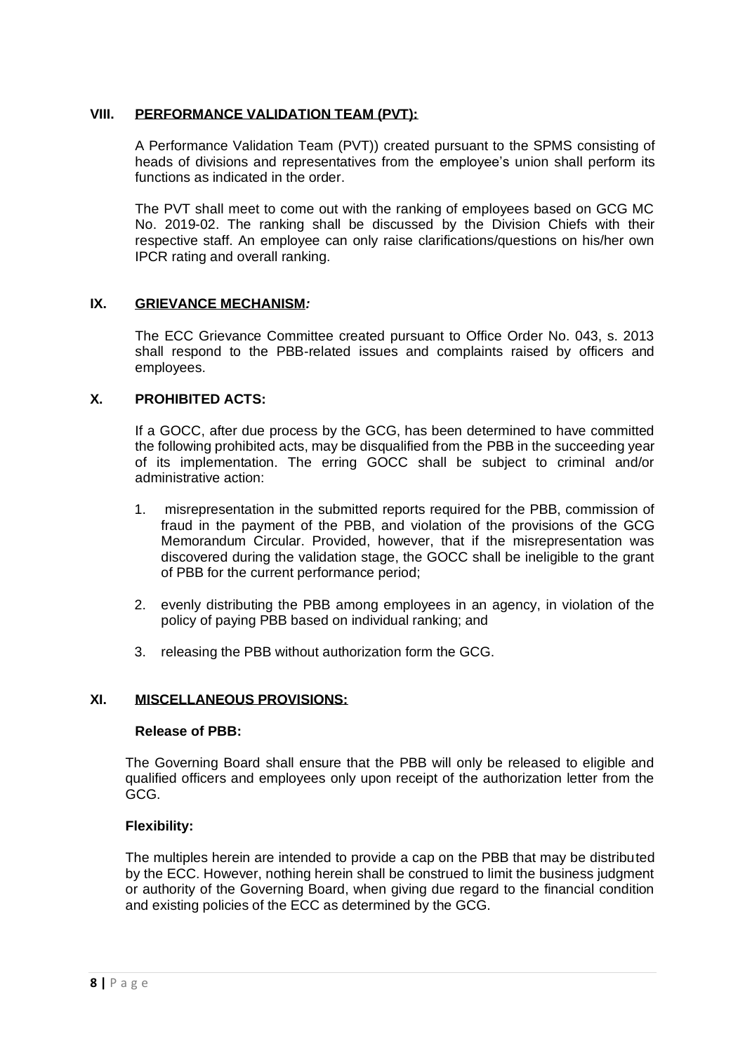#### **VIII. PERFORMANCE VALIDATION TEAM (PVT):**

A Performance Validation Team (PVT)) created pursuant to the SPMS consisting of heads of divisions and representatives from the employee's union shall perform its functions as indicated in the order.

The PVT shall meet to come out with the ranking of employees based on GCG MC No. 2019-02. The ranking shall be discussed by the Division Chiefs with their respective staff. An employee can only raise clarifications/questions on his/her own IPCR rating and overall ranking.

## **IX. GRIEVANCE MECHANISM***:*

The ECC Grievance Committee created pursuant to Office Order No. 043, s. 2013 shall respond to the PBB-related issues and complaints raised by officers and employees.

#### **X. PROHIBITED ACTS:**

If a GOCC, after due process by the GCG, has been determined to have committed the following prohibited acts, may be disqualified from the PBB in the succeeding year of its implementation. The erring GOCC shall be subject to criminal and/or administrative action:

- 1. misrepresentation in the submitted reports required for the PBB, commission of fraud in the payment of the PBB, and violation of the provisions of the GCG Memorandum Circular. Provided, however, that if the misrepresentation was discovered during the validation stage, the GOCC shall be ineligible to the grant of PBB for the current performance period;
- 2. evenly distributing the PBB among employees in an agency, in violation of the policy of paying PBB based on individual ranking; and
- 3. releasing the PBB without authorization form the GCG.

## **XI. MISCELLANEOUS PROVISIONS:**

#### **Release of PBB:**

The Governing Board shall ensure that the PBB will only be released to eligible and qualified officers and employees only upon receipt of the authorization letter from the GCG.

#### **Flexibility:**

The multiples herein are intended to provide a cap on the PBB that may be distributed by the ECC. However, nothing herein shall be construed to limit the business judgment or authority of the Governing Board, when giving due regard to the financial condition and existing policies of the ECC as determined by the GCG.